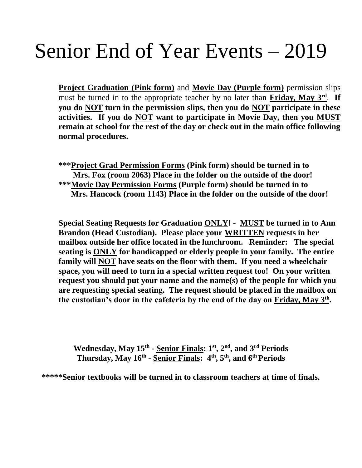# Senior End of Year Events – 2019

**Project Graduation (Pink form)** and **Movie Day (Purple form)** permission slips must be turned in to the appropriate teacher by no later than **Friday, May 3<sup>rd</sup>**. If **you do NOT turn in the permission slips, then you do NOT participate in these activities. If you do NOT want to participate in Movie Day, then you MUST remain at school for the rest of the day or check out in the main office following normal procedures.**

**\*\*\*Project Grad Permission Forms (Pink form) should be turned in to Mrs. Fox (room 2063) Place in the folder on the outside of the door! \*\*\*Movie Day Permission Forms (Purple form) should be turned in to Mrs. Hancock (room 1143) Place in the folder on the outside of the door!**

**Special Seating Requests for Graduation ONLY! - MUST be turned in to Ann Brandon (Head Custodian). Please place your WRITTEN requests in her mailbox outside her office located in the lunchroom. Reminder: The special seating is ONLY for handicapped or elderly people in your family. The entire family will NOT have seats on the floor with them. If you need a wheelchair space, you will need to turn in a special written request too! On your written request you should put your name and the name(s) of the people for which you are requesting special seating. The request should be placed in the mailbox on the custodian's door in the cafeteria by the end of the day on Friday, May 3 th .** 

**Wednesday, May 15 th - Senior Finals: 1 st , 2 nd, and 3 rd Periods Thursday, May 16 th - Senior Finals: 4 th , 5 th, and 6thPeriods**

**\*\*\*\*\*Senior textbooks will be turned in to classroom teachers at time of finals.**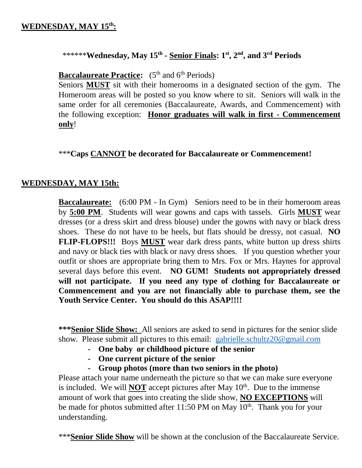#### \*\*\*\*\*\***Wednesday, May 15th - Senior Finals: 1 st, 2nd, and 3rd Periods**

**Baccalaureate Practice:** (5<sup>th</sup> and 6<sup>th</sup> Periods)

 Seniors **MUST** sit with their homerooms in a designated section of the gym. The Homeroom areas will be posted so you know where to sit. Seniors will walk in the same order for all ceremonies (Baccalaureate, Awards, and Commencement) with the following exception: **Honor graduates will walk in first - Commencement only**!

\*\*\***Caps CANNOT be decorated for Baccalaureate or Commencement!**

#### **WEDNESDAY, MAY 15th:**

**Baccalaureate:** (6:00 PM - In Gym) Seniors need to be in their homeroom areas by **5:00 PM**. Students will wear gowns and caps with tassels. Girls **MUST** wear dresses (or a dress skirt and dress blouse) under the gowns with navy or black dress shoes. These do not have to be heels, but flats should be dressy, not casual. **NO FLIP-FLOPS!!!** Boys **MUST** wear dark dress pants, white button up dress shirts and navy or black ties with black or navy dress shoes. If you question whether your outfit or shoes are appropriate bring them to Mrs. Fox or Mrs. Haynes for approval several days before this event. **NO GUM! Students not appropriately dressed will not participate. If you need any type of clothing for Baccalaureate or Commencement and you are not financially able to purchase them, see the Youth Service Center. You should do this ASAP!!!!**

**\*\*\*Senior Slide Show:** All seniors are asked to send in pictures for the senior slide show. Please submit all pictures to this email: [gabrielle.schultz20@gmail.com](mailto:gabrielle.schultz20@gmail.com)

- **- One baby or childhood picture of the senior**
- **- One current picture of the senior**
- **- Group photos (more than two seniors in the photo)**

Please attach your name underneath the picture so that we can make sure everyone is included. We will **NOT** accept pictures after May  $10<sup>th</sup>$ . Due to the immense amount of work that goes into creating the slide show, **NO EXCEPTIONS** will be made for photos submitted after 11:50 PM on May  $10<sup>th</sup>$ . Thank you for your understanding.

\*\*\***Senior Slide Show** will be shown at the conclusion of the Baccalaureate Service.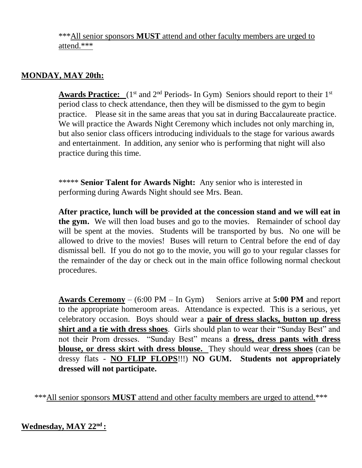\*\*\*All senior sponsors **MUST** attend and other faculty members are urged to attend.\*\*\*

# **MONDAY, MAY 20th:**

**Awards Practice:**  $(1^{st}$  and  $2^{nd}$  Periods- In Gym) Seniors should report to their  $1^{st}$ period class to check attendance, then they will be dismissed to the gym to begin practice. Please sit in the same areas that you sat in during Baccalaureate practice. We will practice the Awards Night Ceremony which includes not only marching in, but also senior class officers introducing individuals to the stage for various awards and entertainment. In addition, any senior who is performing that night will also practice during this time.

\*\*\*\*\* **Senior Talent for Awards Night:** Any senior who is interested in performing during Awards Night should see Mrs. Bean.

**After practice, lunch will be provided at the concession stand and we will eat in the gym.** We will then load buses and go to the movies. Remainder of school day will be spent at the movies. Students will be transported by bus. No one will be allowed to drive to the movies! Buses will return to Central before the end of day dismissal bell. If you do not go to the movie, you will go to your regular classes for the remainder of the day or check out in the main office following normal checkout procedures.

**Awards Ceremony** – (6:00 PM – In Gym) Seniors arrive at **5:00 PM** and report to the appropriate homeroom areas. Attendance is expected. This is a serious, yet celebratory occasion. Boys should wear a **pair of dress slacks, button up dress shirt and a tie with dress shoes**. Girls should plan to wear their "Sunday Best" and not their Prom dresses. "Sunday Best" means a **dress, dress pants with dress blouse, or dress skirt with dress blouse.** They should wear **dress shoes** (can be dressy flats - **NO FLIP FLOPS**!!!) **NO GUM. Students not appropriately dressed will not participate.**

\*\*\*All senior sponsors **MUST** attend and other faculty members are urged to attend.\*\*\*

#### **Wednesday, MAY 22nd :**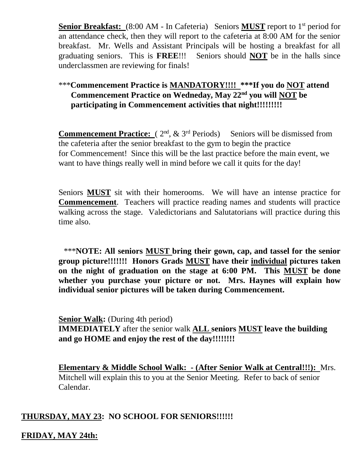**Senior Breakfast:** (8:00 AM - In Cafeteria) Seniors **MUST** report to 1<sup>st</sup> period for an attendance check, then they will report to the cafeteria at 8:00 AM for the senior breakfast. Mr. Wells and Assistant Principals will be hosting a breakfast for all graduating seniors. This is **FREE**!!! Seniors should **NOT** be in the halls since underclassmen are reviewing for finals!

# \*\*\***Commencement Practice is MANDATORY!!!! \*\*\*If you do NOT attend Commencement Practice on Wedneday, May 22nd you will NOT be participating in Commencement activities that night!!!!!!!!!!**

**Commencement Practice:**  $(2^{nd}, \& 3^{rd}$  Periods) Seniors will be dismissed from the cafeteria after the senior breakfast to the gym to begin the practice for Commencement! Since this will be the last practice before the main event, we want to have things really well in mind before we call it quits for the day!

 Seniors **MUST** sit with their homerooms. We will have an intense practice for **Commencement**. Teachers will practice reading names and students will practice walking across the stage. Valedictorians and Salutatorians will practice during this time also.

\*\*\***NOTE: All seniors MUST bring their gown, cap, and tassel for the senior group picture!!!!!!! Honors Grads MUST have their individual pictures taken on the night of graduation on the stage at 6:00 PM. This MUST be done whether you purchase your picture or not. Mrs. Haynes will explain how individual senior pictures will be taken during Commencement.** 

**Senior Walk:** (During 4th period) **IMMEDIATELY** after the senior walk **ALL seniors MUST leave the building and go HOME and enjoy the rest of the day!!!!!!!!**

**Elementary & Middle School Walk: - (After Senior Walk at Central!!!):** Mrs. Mitchell will explain this to you at the Senior Meeting. Refer to back of senior Calendar.

## **THURSDAY, MAY 23: NO SCHOOL FOR SENIORS!!!!!!**

**FRIDAY, MAY 24th:**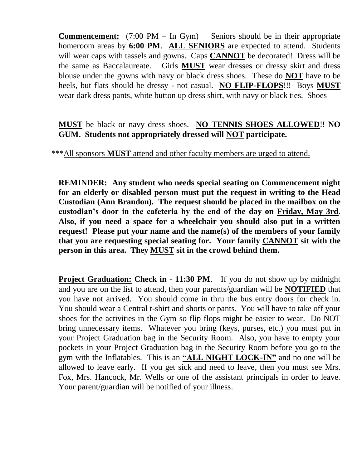**Commencement:** (7:00 PM – In Gym) Seniors should be in their appropriate homeroom areas by **6:00 PM**. **ALL SENIORS** are expected to attend. Students will wear caps with tassels and gowns. Caps **CANNOT** be decorated! Dress will be the same as Baccalaureate. Girls **MUST** wear dresses or dressy skirt and dress blouse under the gowns with navy or black dress shoes. These do **NOT** have to be heels, but flats should be dressy - not casual. **NO FLIP-FLOPS**!!! Boys **MUST** wear dark dress pants, white button up dress shirt, with navy or black ties. Shoes

**MUST** be black or navy dress shoes. **NO TENNIS SHOES ALLOWED**!! **NO GUM. Students not appropriately dressed will NOT participate.**

\*\*\*All sponsors **MUST** attend and other faculty members are urged to attend.

**REMINDER: Any student who needs special seating on Commencement night for an elderly or disabled person must put the request in writing to the Head Custodian (Ann Brandon). The request should be placed in the mailbox on the custodian's door in the cafeteria by the end of the day on Friday, May 3rd**. **Also, if you need a space for a wheelchair you should also put in a written request! Please put your name and the name(s) of the members of your family that you are requesting special seating for. Your family CANNOT sit with the person in this area. They MUST sit in the crowd behind them.** 

**Project Graduation: Check in - 11:30 PM.** If you do not show up by midnight and you are on the list to attend, then your parents/guardian will be **NOTIFIED** that you have not arrived. You should come in thru the bus entry doors for check in. You should wear a Central t-shirt and shorts or pants. You will have to take off your shoes for the activities in the Gym so flip flops might be easier to wear. Do NOT bring unnecessary items. Whatever you bring (keys, purses, etc.) you must put in your Project Graduation bag in the Security Room. Also, you have to empty your pockets in your Project Graduation bag in the Security Room before you go to the gym with the Inflatables. This is an **"ALL NIGHT LOCK-IN"** and no one will be allowed to leave early. If you get sick and need to leave, then you must see Mrs. Fox, Mrs. Hancock, Mr. Wells or one of the assistant principals in order to leave. Your parent/guardian will be notified of your illness.